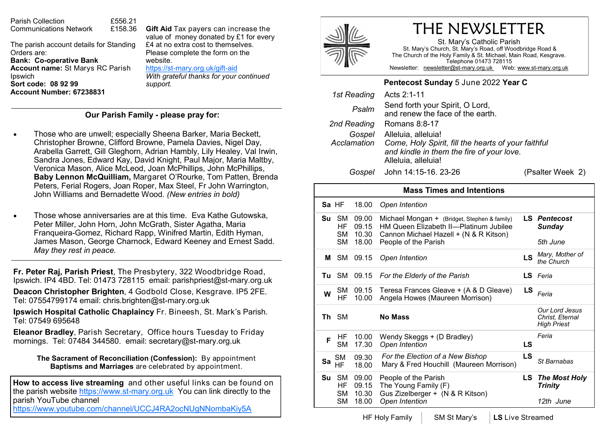The parish account details for Standing Orders are: **Bank: Co-operative Bank Account name:** St Marys RC Parish Ipswich **Sort code: 08 92 99 Account Number: 67238831** 

Parish Collection **£556.21**<br>Communications Network £158.36

Communications Network

**Gift Aid** Tax payers can increase the value of money donated by £1 for every £4 at no extra cost to themselves. Please complete the form on the website. https://st-[mary.org.uk/gift](https://www.st-mary.org.uk/gift-aid)-aid

*With grateful thanks for your continued support.*

#### **Our Parish Family - please pray for:**

- Those who are unwell; especially Sheena Barker, Maria Beckett, Christopher Browne, Clifford Browne, Pamela Davies, Nigel Day, Arabella Garrett, Gill Gleghorn, Adrian Hambly, Lily Healey, Val Irwin, Sandra Jones, Edward Kay, David Knight, Paul Major, Maria Maltby, Veronica Mason, Alice McLeod, Joan McPhillips, John McPhillips, **Baby Lennon McQuilliam,** Margaret O'Rourke, Tom Patten, Brenda Peters, Ferial Rogers, Joan Roper, Max Steel, Fr John Warrington, John Williams and Bernadette Wood. *(New entries in bold)*
- Those whose anniversaries are at this time. Eva Kathe Gutowska, Peter Miller, John Horn, John McGrath, Sister Agatha, Maria Franqueira-Gomez, Richard Rapp, Winifred Martin, Edith Hyman, James Mason, George Charnock, Edward Keeney and Ernest Sadd. *May they rest in peace.*

**Fr. Peter Raj, Parish Priest**, The Presbytery, 322 Woodbridge Road, Ipswich. IP4 4BD. Tel: 01473 728115 email: parishpriest@st-mary.org.uk

**Deacon Christopher Brighten**, 4 Godbold Close, Kesgrave. IP5 2FE. Tel: 07554799174 email: chris.brighten@st-mary.org.uk

**Ipswich Hospital Catholic Chaplaincy** Fr. Bineesh, St. Mark's Parish. Tel: 07549 695648

**Eleanor Bradley**, Parish Secretary, Office hours Tuesday to Friday mornings. Tel: 07484 344580. email: secretary@st-mary.org.uk

**The Sacrament of Reconciliation (Confession):** By appointment **Baptisms and Marriages** are celebrated by appointment.

**How to access live streaming** and other useful links can be found on the parish website https://www.st-mary.org.uk You can link directly to the parish YouTube channel

<https://www.youtube.com/channel/UCCJ4RA2ocNUgNNombaKiy5A>



# THE NEWSLETTER

St. Mary's Catholic Parish St. Mary's Church, St. Mary's Road, off Woodbridge Road & The Church of the Holy Family & St. Michael, Main Road, Kesgrave. Telephone 01473 728115 Newsletter: newsletter@st-mary.org.uk Web: www.st-mary.org.uk

#### **Pentecost Sunday** 5 June 2022 **Year C**

| 1st Reading | Acts 2:1-11                                                                                                                                                |                  |  |
|-------------|------------------------------------------------------------------------------------------------------------------------------------------------------------|------------------|--|
| Psalm       | Send forth your Spirit, O Lord,<br>and renew the face of the earth.                                                                                        |                  |  |
| 2nd Reading | Romans 8:8-17                                                                                                                                              |                  |  |
| Gospel      | Alleluia, alleluia!<br>Acclamation Come, Holy Spirit, fill the hearts of your faithful<br>and kindle in them the fire of your love.<br>Alleluia, alleluia! |                  |  |
| Gospel      | John 14:15-16. 23-26                                                                                                                                       | (Psalter Week 2) |  |

**Mass Times and Intentions Sa** HF 18.00 *Open Intention*  **Su** SM 09.00 HF 09.15 SM 10.30 SM 18.00 Michael Mongan + (Bridget, Stephen & family) HM Queen Elizabeth II—Platinum Jubilee Cannon Michael Hazell + (N & R Kitson) People of the Parish *Pentecost Sunday 5th June* **<sup>M</sup>** SM 09.15 *Open Intention* **LS** *Mary, Mother of the Church* **Tu** SM 09.15 *For the Elderly of the Parish* **LS** *Feria* **W** SM 09.15 HF 10.00 Angela Howes (Maureen Morrison) *Feria* Teresa Frances Gleave + (A & D Gleave) **LS Th** SM **No Mass**  *Our Lord Jesus Christ, Eternal High Priest* **F** HF SM 17.30 10.00 Wendy Skeggs + (D Bradley) *Open Intention* **LS** *Feria* **Sa** SM HF 09.30 18.00 *For the Election of a New Bishop* **LS** Mary & Fred Houchill (Maureen Morrison) *St Barnabas* **Su** SM HF SM 10.30 SM 18.00 09.00 09.15 **People of the Parish** The Young Family (F) Gus Zizelberger + (N & R Kitson) *Open Intention The Most Holy Trinity 12th June*

HF Holy Family | SM St Mary's | LS Live Streamed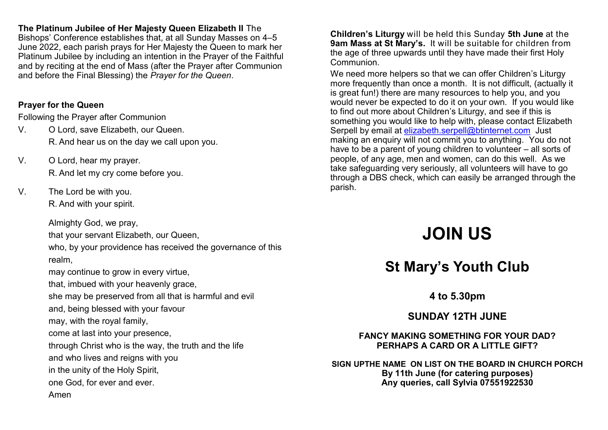## **The Platinum Jubilee of Her Majesty Queen Elizabeth II** The

Bishops' Conference establishes that, at all Sunday Masses on 4–5 June 2022, each parish prays for Her Majesty the Queen to mark her Platinum Jubilee by including an intention in the Prayer of the Faithful and by reciting at the end of Mass (after the Prayer after Communion and before the Final Blessing) the *Prayer for the Queen*.

## **Prayer for the Queen**

Following the Prayer after Communion

- V. O Lord, save Elizabeth, our Queen. R. And hear us on the day we call upon you.
- V. O Lord, hear my prayer. R. And let my cry come before you.
- V. The Lord be with you.

R. And with your spirit.

Almighty God, we pray,

that your servant Elizabeth, our Queen,

who, by your providence has received the governance of this realm,

may continue to grow in every virtue,

that, imbued with your heavenly grace,

she may be preserved from all that is harmful and evil

and, being blessed with your favour

may, with the royal family,

come at last into your presence,

through Christ who is the way, the truth and the life

and who lives and reigns with you

in the unity of the Holy Spirit,

one God, for ever and ever.

Amen

**Children's Liturgy** will be held this Sunday **5th June** at the **9am Mass at St Mary's.** It will be suitable for children from the age of three upwards until they have made their first Holy Communion.

We need more helpers so that we can offer Children's Liturgy more frequently than once a month. It is not difficult, (actually it is great fun!) there are many resources to help you, and you would never be expected to do it on your own. If you would like to find out more about Children's Liturgy, and see if this is something you would like to help with, please contact Elizabeth Serpell by email at [elizabeth.serpell@btinternet.com](mailto:elizabeth.serpell@btinternet.com) Just making an enquiry will not commit you to anything. You do not have to be a parent of young children to volunteer – all sorts of people, of any age, men and women, can do this well. As we take safeguarding very seriously, all volunteers will have to go through a DBS check, which can easily be arranged through the parish.

# **JOIN US**

# **St Mary's Youth Club**

**4 to 5.30pm**

**SUNDAY 12TH JUNE**

**FANCY MAKING SOMETHING FOR YOUR DAD? PERHAPS A CARD OR A LITTLE GIFT?**

**SIGN UPTHE NAME ON LIST ON THE BOARD IN CHURCH PORCH By 11th June (for catering purposes) Any queries, call Sylvia 07551922530**